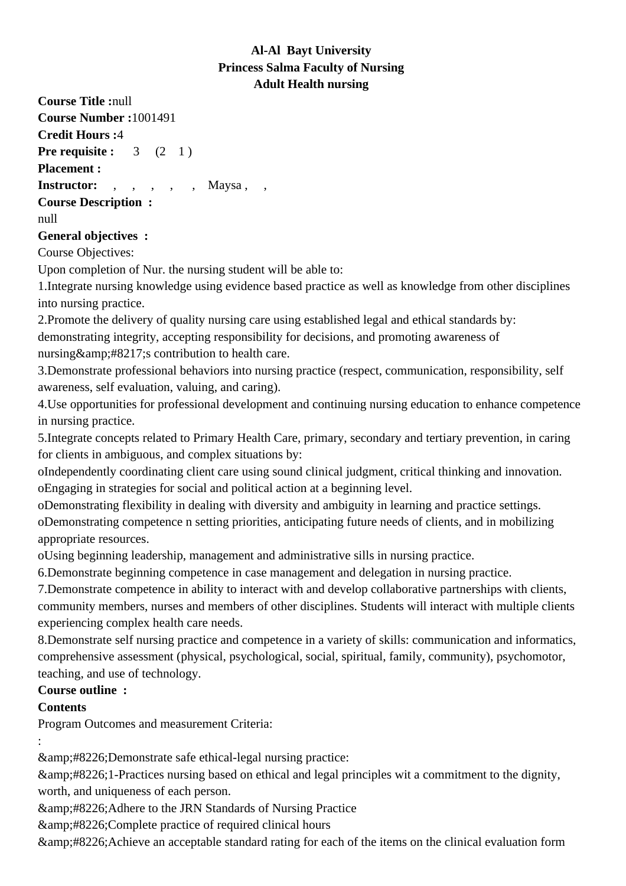## **Al-Al Bayt University Princess Salma Faculty of Nursing Adult Health nursing**

**Course Title :**null **Course Number :**1001491 **Credit Hours :**4 **Pre requisite :** 3 (2 1) **Placement :** Instructor: , , , , Maysa, , **Course Description :** null **General objectives :** Course Objectives:

Upon completion of Nur. the nursing student will be able to:

1. Integrate nursing knowledge using evidence based practice as well as knowledge from other disciplines into nursing practice.

2. Promote the delivery of quality nursing care using established legal and ethical standards by: demonstrating integrity, accepting responsibility for decisions, and promoting awareness of nursing  $\&$ amp; #8217; s contribution to health care.

3. Demonstrate professional behaviors into nursing practice (respect, communication, responsibility, self awareness, self evaluation, valuing, and caring).

4. Use opportunities for professional development and continuing nursing education to enhance competence in nursing practice.

5. Integrate concepts related to Primary Health Care, primary, secondary and tertiary prevention, in caring for clients in ambiguous, and complex situations by: 

o Independently coordinating client care using sound clinical judgment, critical thinking and innovation.

o Engaging in strategies for social and political action at a beginning level.

o Demonstrating flexibility in dealing with diversity and ambiguity in learning and practice settings.

o Demonstrating competence n setting priorities, anticipating future needs of clients, and in mobilizing appropriate resources.

o Using beginning leadership, management and administrative sills in nursing practice.

6. Demonstrate beginning competence in case management and delegation in nursing practice.

7. Demonstrate competence in ability to interact with and develop collaborative partnerships with clients, community members, nurses and members of other disciplines. Students will interact with multiple clients experiencing complex health care needs.

8. Demonstrate self nursing practice and competence in a variety of skills: communication and informatics, comprehensive assessment (physical, psychological, social, spiritual, family, community), psychomotor, teaching, and use of technology.

## **Course outline :**

## **Contents**

Program Outcomes and measurement Criteria:

:

• Demonstrate safe ethical-legal nursing practice:

• 1-Practices nursing based on ethical and legal principles wit a commitment to the dignity, worth, and uniqueness of each person.

• Adhere to the JRN Standards of Nursing Practice

& amp: #8226; Complete practice of required clinical hours

• Achieve an acceptable standard rating for each of the items on the clinical evaluation form